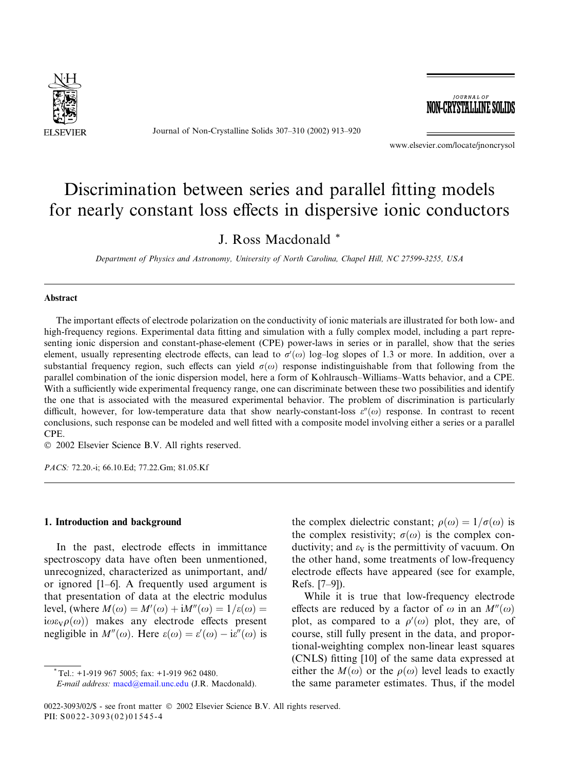

Journal of Non-Crystalline Solids 307–310 (2002) 913–920



www.elsevier.com/locate/jnoncrysol

# Discrimination between series and parallel fitting models for nearly constant loss effects in dispersive ionic conductors

J. Ross Macdonald \*

Department of Physics and Astronomy, University of North Carolina, Chapel Hill, NC 27599-3255, USA

#### Abstract

The important effects of electrode polarization on the conductivity of ionic materials are illustrated for both low-and high-frequency regions. Experimental data fitting and simulation with a fully complex model, including a part representing ionic dispersion and constant-phase-element (CPE) power-laws in series or in parallel, show that the series element, usually representing electrode effects, can lead to  $\sigma'(\omega)$  log-log slopes of 1.3 or more. In addition, over a substantial frequency region, such effects can yield  $\sigma(\omega)$  response indistinguishable from that following from the parallel combination of the ionic dispersion model, here a form of Kohlrausch–Williams–Watts behavior, and a CPE. With a sufficiently wide experimental frequency range, one can discriminate between these two possibilities and identify the one that is associated with the measured experimental behavior. The problem of discrimination is particularly difficult, however, for low-temperature data that show nearly-constant-loss  $\varepsilon''(\omega)$  response. In contrast to recent conclusions, such response can be modeled and well fitted with a composite model involving either a series or a parallel CPE.

2002 Elsevier Science B.V. All rights reserved.

PACS: 72.20.-i; 66.10.Ed; 77.22.Gm; 81.05.Kf

## 1. Introduction and background

In the past, electrode effects in immittance spectroscopy data have often been unmentioned, unrecognized, characterized as unimportant, and/ or ignored [1–6]. A frequently used argument is that presentation of data at the electric modulus level, (where  $M(\omega) = M'(\omega) + iM''(\omega) = 1/\varepsilon(\omega) =$  $i\omega\varepsilon_V\rho(\omega)$  makes any electrode effects present negligible in  $M''(\omega)$ . Here  $\varepsilon(\omega) = \varepsilon'(\omega) - i\varepsilon''(\omega)$  is

the complex dielectric constant;  $\rho(\omega) = 1/\sigma(\omega)$  is the complex resistivity;  $\sigma(\omega)$  is the complex conductivity; and  $\varepsilon_V$  is the permittivity of vacuum. On the other hand, some treatments of low-frequency electrode effects have appeared (see for example, Refs. [7–9]).

While it is true that low-frequency electrode effects are reduced by a factor of  $\omega$  in an  $M''(\omega)$ plot, as compared to a  $\rho'(\omega)$  plot, they are, of course, still fully present in the data, and proportional-weighting complex non-linear least squares (CNLS) fitting [10] of the same data expressed at either the  $M(\omega)$  or the  $\rho(\omega)$  level leads to exactly the same parameter estimates. Thus, if the model

0022-3093/02/\$ - see front matter  $\degree$  2002 Elsevier Science B.V. All rights reserved. PII: S0022-3093(02)01545-4

 $*$ Tel.: +1-919 967 5005; fax: +1-919 962 0480.

E-mail address: [macd@email.unc.edu](mail to: macd@email.unc.edu) (J.R. Macdonald).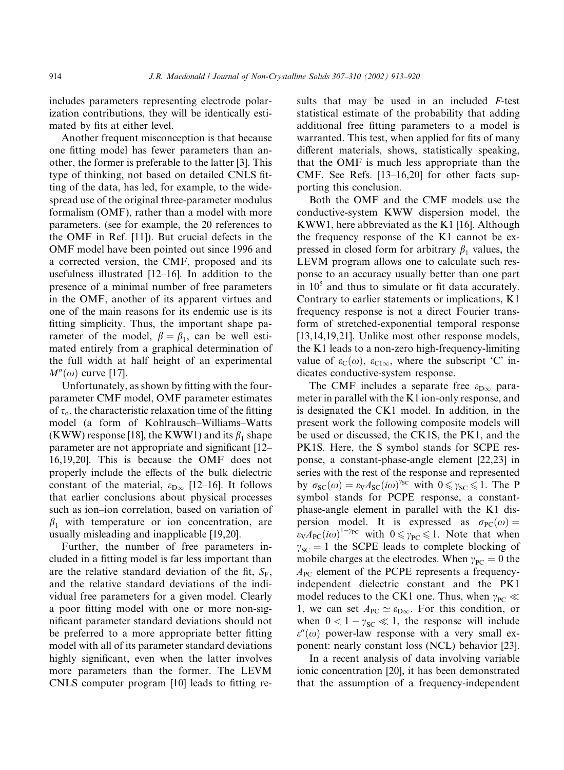includes parameters representing electrode polarization contributions, they will be identically estimated by fits at either level.

Another frequent misconception is that because one fitting model has fewer parameters than another, the former is preferable to the latter [3]. This type of thinking, not based on detailed CNLS fitting of the data, has led, for example, to the widespread use of the original three-parameter modulus formalism (OMF), rather than a model with more parameters. (see for example, the 20 references to the OMF in Ref. [11]). But crucial defects in the OMF model have been pointed out since 1996 and a corrected version, the CMF, proposed and its usefulness illustrated [12–16]. In addition to the presence of a minimal number of free parameters in the OMF, another of its apparent virtues and one of the main reasons for its endemic use is its fitting simplicity. Thus, the important shape parameter of the model,  $\beta = \beta_1$ , can be well estimated entirely from a graphical determination of the full width at half height of an experimental  $M''(\omega)$  curve [17].

Unfortunately, as shown by fitting with the fourparameter CMF model, OMF parameter estimates of  $\tau_o$ , the characteristic relaxation time of the fitting model (a form of Kohlrausch–Williams–Watts (KWW) response [18], the KWW1) and its  $\beta_1$  shape parameter are not appropriate and significant [12– 16,19,20]. This is because the OMF does not properly include the effects of the bulk dielectric constant of the material,  $\varepsilon_{D\infty}$  [12–16]. It follows that earlier conclusions about physical processes such as ion–ion correlation, based on variation of  $\beta_1$  with temperature or ion concentration, are usually misleading and inapplicable [19,20].

Further, the number of free parameters included in a fitting model is far less important than are the relative standard deviation of the fit,  $S_F$ , and the relative standard deviations of the individual free parameters for a given model. Clearly a poor fitting model with one or more non-significant parameter standard deviations should not be preferred to a more appropriate better fitting model with all of its parameter standard deviations highly significant, even when the latter involves more parameters than the former. The LEVM CNLS computer program [10] leads to fitting results that may be used in an included F-test statistical estimate of the probability that adding additional free fitting parameters to a model is warranted. This test, when applied for fits of many different materials, shows, statistically speaking, that the OMF is much less appropriate than the CMF. See Refs. [13–16,20] for other facts supporting this conclusion.

Both the OMF and the CMF models use the conductive-system KWW dispersion model, the KWW1, here abbreviated as the K1 [16]. Although the frequency response of the K1 cannot be expressed in closed form for arbitrary  $\beta_1$  values, the LEVM program allows one to calculate such response to an accuracy usually better than one part in  $10<sup>5</sup>$  and thus to simulate or fit data accurately. Contrary to earlier statements or implications, K1 frequency response is not a direct Fourier transform of stretched-exponential temporal response [13,14,19,21]. Unlike most other response models, the K1 leads to a non-zero high-frequency-limiting value of  $\varepsilon_{\text{C}}(\omega)$ ,  $\varepsilon_{\text{C1}\infty}$ , where the subscript 'C' indicates conductive-system response.

The CMF includes a separate free  $\varepsilon_{D\infty}$  parameter in parallel with the K1 ion-only response, and is designated the CK1 model. In addition, in the present work the following composite models will be used or discussed, the CK1S, the PK1, and the PK1S. Here, the S symbol stands for SCPE response, a constant-phase-angle element [22,23] in series with the rest of the response and represented by  $\sigma_{SC}(\omega) = \varepsilon_{V} A_{SC}(i\omega)^{\gamma_{SC}}$  with  $0 \le \gamma_{SC} \le 1$ . The P symbol stands for PCPE response, a constantphase-angle element in parallel with the K1 dispersion model. It is expressed as  $\sigma_{\text{PC}}(\omega) =$  $\epsilon_{VAPC}(i\omega)^{1-\gamma_{PC}}$  with  $0 \le \gamma_{PC} \le 1$ . Note that when  $\gamma_{SC} = 1$  the SCPE leads to complete blocking of mobile charges at the electrodes. When  $\gamma_{PC} = 0$  the  $A_{\text{PC}}$  element of the PCPE represents a frequencyindependent dielectric constant and the PK1 model reduces to the CK1 one. Thus, when  $\gamma_{PC} \ll$ 1, we can set  $A_{PC} \simeq \varepsilon_{D\infty}$ . For this condition, or when  $0 < 1 - \gamma_{SC} \ll 1$ , the response will include  $\varepsilon''(\omega)$  power-law response with a very small exponent: nearly constant loss (NCL) behavior [23].

In a recent analysis of data involving variable ionic concentration [20], it has been demonstrated that the assumption of a frequency-independent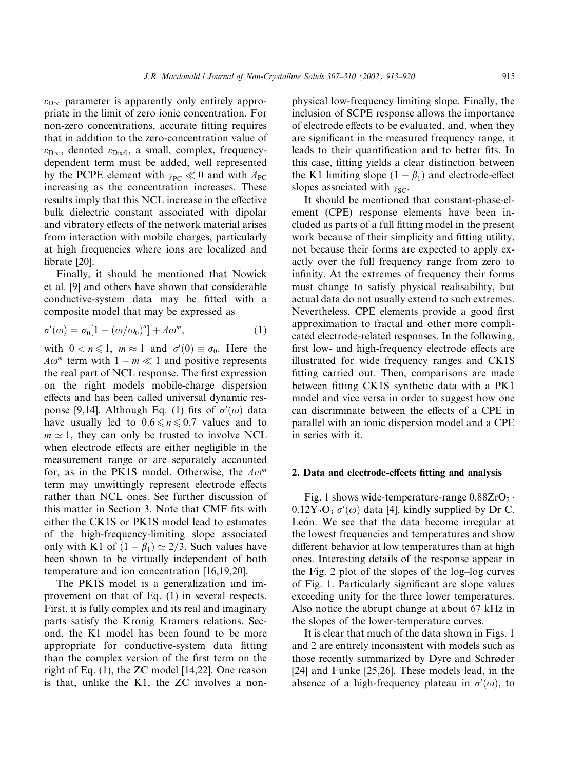$\varepsilon_{\text{D}\infty}$  parameter is apparently only entirely appropriate in the limit of zero ionic concentration. For non-zero concentrations, accurate fitting requires that in addition to the zero-concentration value of  $\varepsilon_{D\infty}$ , denoted  $\varepsilon_{D\infty}$ , a small, complex, frequencydependent term must be added, well represented by the PCPE element with  $\gamma_{PC} \ll 0$  and with  $A_{PC}$ increasing as the concentration increases. These results imply that this NCL increase in the effective bulk dielectric constant associated with dipolar and vibratory effects of the network material arises from interaction with mobile charges, particularly at high frequencies where ions are localized and librate [20].

Finally, it should be mentioned that Nowick et al. [9] and others have shown that considerable conductive-system data may be fitted with a composite model that may be expressed as

$$
\sigma'(\omega) = \sigma_0[1 + (\omega/\omega_0)^n] + A\omega^m, \qquad (1)
$$

with  $0 < n \leq 1$ ,  $m \approx 1$  and  $\sigma'(0) \equiv \sigma_0$ . Here the  $A\omega^m$  term with  $1 - m \ll 1$  and positive represents the real part of NCL response. The first expression on the right models mobile-charge dispersion effects and has been called universal dynamic response [9,14]. Although Eq. (1) fits of  $\sigma'(\omega)$  data have usually led to  $0.6 \le n \le 0.7$  values and to  $m \approx 1$ , they can only be trusted to involve NCL when electrode effects are either negligible in the measurement range or are separately accounted for, as in the PK1S model. Otherwise, the  $A\omega^m$ term may unwittingly represent electrode effects rather than NCL ones. See further discussion of this matter in Section 3. Note that CMF fits with either the CK1S or PK1S model lead to estimates of the high-frequency-limiting slope associated only with K1 of  $(1 - \beta_1) \simeq 2/3$ . Such values have been shown to be virtually independent of both temperature and ion concentration [16,19,20].

The PK1S model is a generalization and improvement on that of Eq. (1) in several respects. First, it is fully complex and its real and imaginary parts satisfy the Kronig–Kramers relations. Second, the K1 model has been found to be more appropriate for conductive-system data fitting than the complex version of the first term on the right of Eq. (1), the ZC model [14,22]. One reason is that, unlike the K1, the ZC involves a nonphysical low-frequency limiting slope. Finally, the inclusion of SCPE response allows the importance of electrode effects to be evaluated, and, when they are significant in the measured frequency range, it leads to their quantification and to better fits. In this case, fitting yields a clear distinction between the K1 limiting slope  $(1 - \beta_1)$  and electrode-effect slopes associated with  $\gamma_{SC}$ .

It should be mentioned that constant-phase-element (CPE) response elements have been included as parts of a full fitting model in the present work because of their simplicity and fitting utility, not because their forms are expected to apply exactly over the full frequency range from zero to infinity. At the extremes of frequency their forms must change to satisfy physical realisability, but actual data do not usually extend to such extremes. Nevertheless, CPE elements provide a good first approximation to fractal and other more complicated electrode-related responses. In the following, first low-and high-frequency electrode effects are illustrated for wide frequency ranges and CK1S fitting carried out. Then, comparisons are made between fitting CK1S synthetic data with a PK1 model and vice versa in order to suggest how one can discriminate between the effects of a CPE in parallel with an ionic dispersion model and a CPE in series with it.

## 2. Data and electrode-effects fitting and analysis

Fig. 1 shows wide-temperature-range  $0.88ZrO<sub>2</sub>$ .  $0.12Y_2O_3$   $\sigma'(\omega)$  data [4], kindly supplied by Dr C. León. We see that the data become irregular at the lowest frequencies and temperatures and show different behavior at low temperatures than at high ones. Interesting details of the response appear in the Fig. 2 plot of the slopes of the log–log curves of Fig. 1. Particularly significant are slope values exceeding unity for the three lower temperatures. Also notice the abrupt change at about 67 kHz in the slopes of the lower-temperature curves.

It is clear that much of the data shown in Figs. 1 and 2 are entirely inconsistent with models such as those recently summarized by Dyre and Schrøder [24] and Funke [25,26]. These models lead, in the absence of a high-frequency plateau in  $\sigma'(\omega)$ , to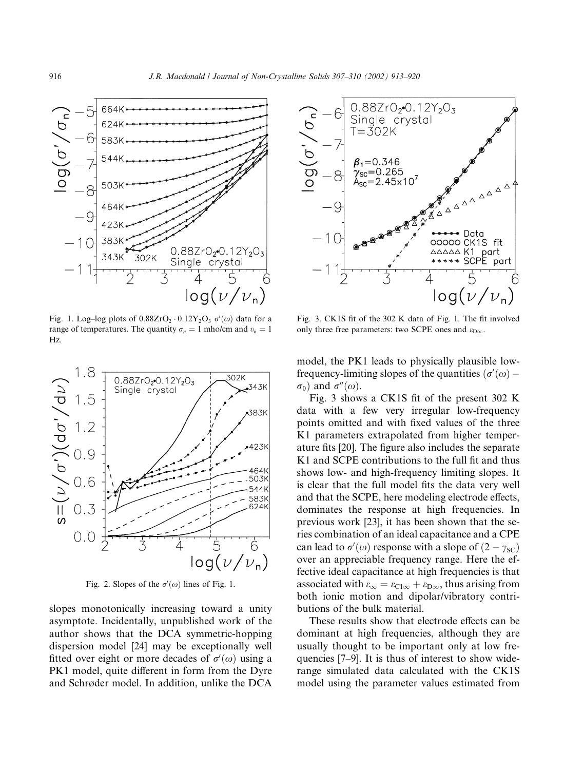

Fig. 1. Log-log plots of  $0.88ZrO_2 \cdot 0.12Y_2O_3$   $\sigma'(\omega)$  data for a range of temperatures. The quantity  $\sigma_n = 1$  mho/cm and  $v_n = 1$ Hz.



Fig. 2. Slopes of the  $\sigma'(\omega)$  lines of Fig. 1.

slopes monotonically increasing toward a unity asymptote. Incidentally, unpublished work of the author shows that the DCA symmetric-hopping dispersion model [24] may be exceptionally well fitted over eight or more decades of  $\sigma'(\omega)$  using a PK1 model, quite different in form from the Dyre and Schrøder model. In addition, unlike the DCA



Fig. 3. CK1S fit of the 302 K data of Fig. 1. The fit involved only three free parameters: two SCPE ones and  $\varepsilon_{\text{D}\infty}$ .

model, the PK1 leads to physically plausible lowfrequency-limiting slopes of the quantities  $(\sigma'(\omega) \sigma_0$ ) and  $\sigma''(\omega)$ .

Fig. 3 shows a CK1S fit of the present 302 K data with a few very irregular low-frequency points omitted and with fixed values of the three K1 parameters extrapolated from higher temperature fits [20]. The figure also includes the separate K1 and SCPE contributions to the full fit and thus shows low-and high-frequency limiting slopes. It is clear that the full model fits the data very well and that the SCPE, here modeling electrode effects, dominates the response at high frequencies. In previous work [23], it has been shown that the series combination of an ideal capacitance and a CPE can lead to  $\sigma'(\omega)$  response with a slope of  $(2 - \gamma_{\text{SC}})$ over an appreciable frequency range. Here the effective ideal capacitance at high frequencies is that associated with  $\varepsilon_{\infty} = \varepsilon_{C1\infty} + \varepsilon_{D\infty}$ , thus arising from both ionic motion and dipolar/vibratory contributions of the bulk material.

These results show that electrode effects can be dominant at high frequencies, although they are usually thought to be important only at low frequencies [7–9]. It is thus of interest to show widerange simulated data calculated with the CK1S model using the parameter values estimated from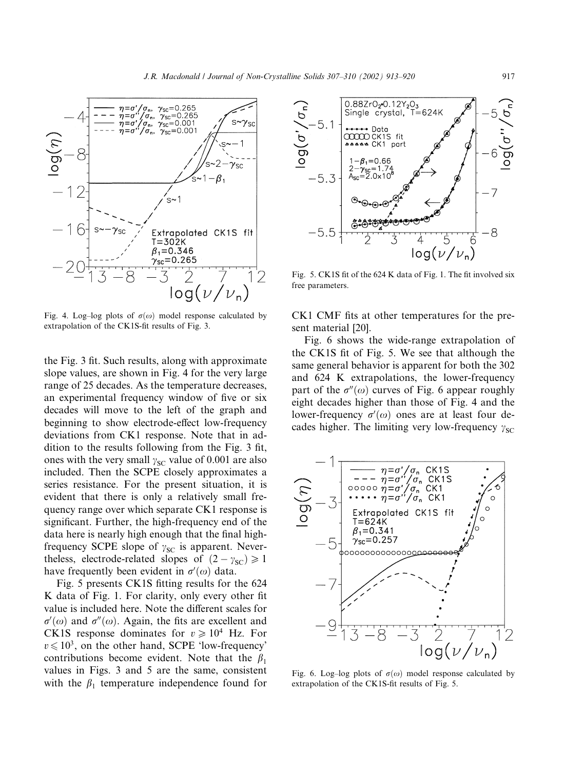

Fig. 4. Log–log plots of  $\sigma(\omega)$  model response calculated by extrapolation of the CK1S-fit results of Fig. 3.

the Fig. 3 fit. Such results, along with approximate slope values, are shown in Fig. 4 for the very large range of 25 decades. As the temperature decreases, an experimental frequency window of five or six decades will move to the left of the graph and beginning to show electrode-effect low-frequency deviations from CK1 response. Note that in addition to the results following from the Fig. 3 fit, ones with the very small  $\gamma_{SC}$  value of 0.001 are also included. Then the SCPE closely approximates a series resistance. For the present situation, it is evident that there is only a relatively small frequency range over which separate CK1 response is significant. Further, the high-frequency end of the data here is nearly high enough that the final highfrequency SCPE slope of  $\gamma_{SC}$  is apparent. Nevertheless, electrode-related slopes of  $(2 - \gamma_{\rm SC}) \ge 1$ have frequently been evident in  $\sigma'(\omega)$  data.

Fig. 5 presents CK1S fitting results for the 624 K data of Fig. 1. For clarity, only every other fit value is included here. Note the different scales for  $\sigma'(\omega)$  and  $\sigma''(\omega)$ . Again, the fits are excellent and CK1S response dominates for  $v \ge 10^4$  Hz. For  $v \le 10^3$ , on the other hand, SCPE 'low-frequency' contributions become evident. Note that the  $\beta_1$ values in Figs. 3 and 5 are the same, consistent with the  $\beta_1$  temperature independence found for



Fig. 5. CK1S fit of the 624 K data of Fig. 1. The fit involved six free parameters.

CK1 CMF fits at other temperatures for the present material [20].

Fig. 6 shows the wide-range extrapolation of the CK1S fit of Fig. 5. We see that although the same general behavior is apparent for both the 302 and 624 K extrapolations, the lower-frequency part of the  $\sigma''(\omega)$  curves of Fig. 6 appear roughly eight decades higher than those of Fig. 4 and the lower-frequency  $\sigma'(\omega)$  ones are at least four decades higher. The limiting very low-frequency  $\gamma_{SC}$ 



Fig. 6. Log-log plots of  $\sigma(\omega)$  model response calculated by extrapolation of the CK1S-fit results of Fig. 5.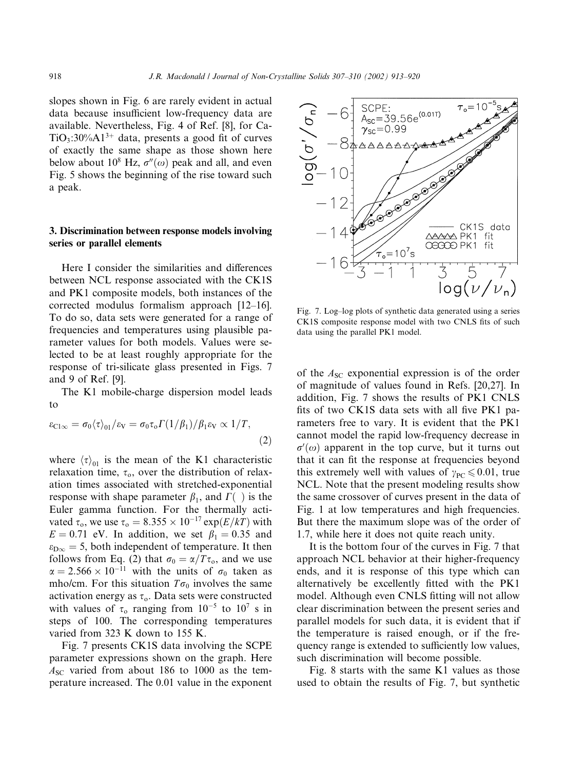slopes shown in Fig. 6 are rarely evident in actual data because insufficient low-frequency data are available. Nevertheless, Fig. 4 of Ref. [8], for Ca- $TiO<sub>3</sub>:30%A1<sup>3+</sup>$  data, presents a good fit of curves of exactly the same shape as those shown here below about 10<sup>8</sup> Hz,  $\sigma''(\omega)$  peak and all, and even Fig. 5 shows the beginning of the rise toward such a peak.

# 3. Discrimination between response models involving series or parallel elements

Here I consider the similarities and differences between NCL response associated with the CK1S and PK1 composite models, both instances of the corrected modulus formalism approach [12–16]. To do so, data sets were generated for a range of frequencies and temperatures using plausible parameter values for both models. Values were selected to be at least roughly appropriate for the response of tri-silicate glass presented in Figs. 7 and 9 of Ref. [9].

The K1 mobile-charge dispersion model leads to

$$
\varepsilon_{\text{Cl}\infty} = \sigma_0 \langle \tau \rangle_{01} / \varepsilon_{\text{V}} = \sigma_0 \tau_o \Gamma(1/\beta_1) / \beta_1 \varepsilon_{\text{V}} \propto 1/T, \tag{2}
$$

where  $\langle \tau \rangle_{01}$  is the mean of the K1 characteristic relaxation time,  $\tau_o$ , over the distribution of relaxation times associated with stretched-exponential response with shape parameter  $\beta_1$ , and  $\Gamma(\ )$  is the Euler gamma function. For the thermally activated  $\tau_o$ , we use  $\tau_o = 8.355 \times 10^{-17} \exp(E/kT)$  with  $E = 0.71$  eV. In addition, we set  $\beta_1 = 0.35$  and  $\varepsilon_{\text{D}\infty} = 5$ , both independent of temperature. It then follows from Eq. (2) that  $\sigma_0 = \alpha/T \tau_0$ , and we use  $\alpha = 2.566 \times 10^{-11}$  with the units of  $\sigma_0$  taken as mho/cm. For this situation  $T\sigma_0$  involves the same activation energy as  $\tau_o$ . Data sets were constructed with values of  $\tau_0$  ranging from  $10^{-5}$  to  $10^7$  s in steps of 100. The corresponding temperatures varied from 323 K down to 155 K.

Fig. 7 presents CK1S data involving the SCPE parameter expressions shown on the graph. Here  $A_{SC}$  varied from about 186 to 1000 as the temperature increased. The 0.01 value in the exponent



Fig. 7. Log–log plots of synthetic data generated using a series CK1S composite response model with two CNLS fits of such data using the parallel PK1 model.

of the  $A_{SC}$  exponential expression is of the order of magnitude of values found in Refs. [20,27]. In addition, Fig. 7 shows the results of PK1 CNLS fits of two CK1S data sets with all five PK1 parameters free to vary. It is evident that the PK1 cannot model the rapid low-frequency decrease in  $\sigma'(\omega)$  apparent in the top curve, but it turns out that it can fit the response at frequencies beyond this extremely well with values of  $\gamma_{PC} \leq 0.01$ , true NCL. Note that the present modeling results show the same crossover of curves present in the data of Fig. 1 at low temperatures and high frequencies. But there the maximum slope was of the order of 1.7, while here it does not quite reach unity.

It is the bottom four of the curves in Fig. 7 that approach NCL behavior at their higher-frequency ends, and it is response of this type which can alternatively be excellently fitted with the PK1 model. Although even CNLS fitting will not allow clear discrimination between the present series and parallel models for such data, it is evident that if the temperature is raised enough, or if the frequency range is extended to sufficiently low values, such discrimination will become possible.

Fig. 8 starts with the same K1 values as those used to obtain the results of Fig. 7, but synthetic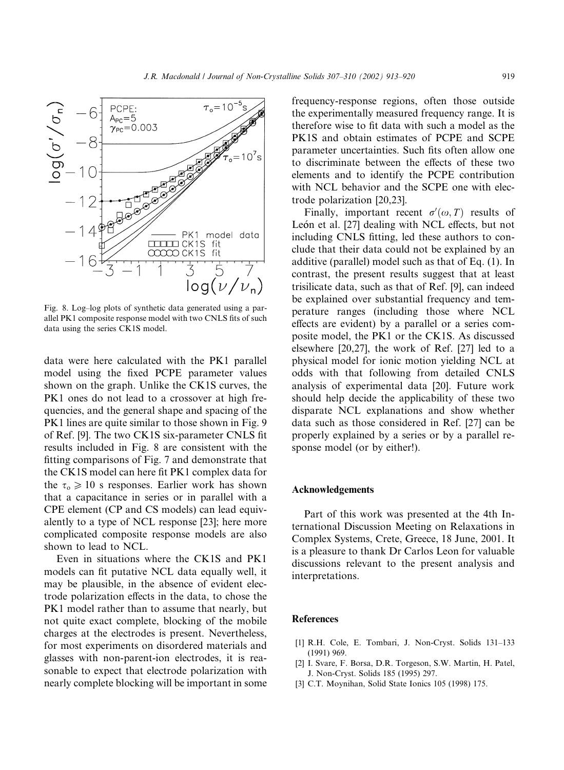

Fig. 8. Log–log plots of synthetic data generated using a parallel PK1 composite response model with two CNLS fits of such data using the series CK1S model.

data were here calculated with the PK1 parallel model using the fixed PCPE parameter values shown on the graph. Unlike the CK1S curves, the PK1 ones do not lead to a crossover at high frequencies, and the general shape and spacing of the PK1 lines are quite similar to those shown in Fig. 9 of Ref. [9]. The two CK1S six-parameter CNLS fit results included in Fig. 8 are consistent with the fitting comparisons of Fig. 7 and demonstrate that the CK1S model can here fit PK1 complex data for the  $\tau_0 \geq 10$  s responses. Earlier work has shown that a capacitance in series or in parallel with a CPE element (CP and CS models) can lead equivalently to a type of NCL response [23]; here more complicated composite response models are also shown to lead to NCL.

Even in situations where the CK1S and PK1 models can fit putative NCL data equally well, it may be plausible, in the absence of evident electrode polarization effects in the data, to chose the PK1 model rather than to assume that nearly, but not quite exact complete, blocking of the mobile charges at the electrodes is present. Nevertheless, for most experiments on disordered materials and glasses with non-parent-ion electrodes, it is reasonable to expect that electrode polarization with nearly complete blocking will be important in some frequency-response regions, often those outside the experimentally measured frequency range. It is therefore wise to fit data with such a model as the PK1S and obtain estimates of PCPE and SCPE parameter uncertainties. Such fits often allow one to discriminate between the effects of these two elements and to identify the PCPE contribution with NCL behavior and the SCPE one with electrode polarization [20,23].

Finally, important recent  $\sigma'(\omega, T)$  results of León et al. [27] dealing with NCL effects, but not including CNLS fitting, led these authors to conclude that their data could not be explained by an additive (parallel) model such as that of Eq. (1). In contrast, the present results suggest that at least trisilicate data, such as that of Ref. [9], can indeed be explained over substantial frequency and temperature ranges (including those where NCL effects are evident) by a parallel or a series composite model, the PK1 or the CK1S. As discussed elsewhere [20,27], the work of Ref. [27] led to a physical model for ionic motion yielding NCL at odds with that following from detailed CNLS analysis of experimental data [20]. Future work should help decide the applicability of these two disparate NCL explanations and show whether data such as those considered in Ref. [27] can be properly explained by a series or by a parallel response model (or by either!).

#### Acknowledgements

Part of this work was presented at the 4th International Discussion Meeting on Relaxations in Complex Systems, Crete, Greece, 18 June, 2001. It is a pleasure to thank Dr Carlos Leon for valuable discussions relevant to the present analysis and interpretations.

## **References**

- [1] R.H. Cole, E. Tombari, J. Non-Cryst. Solids 131–133 (1991) 969.
- [2] I. Svare, F. Borsa, D.R. Torgeson, S.W. Martin, H. Patel, J. Non-Cryst. Solids 185 (1995) 297.
- [3] C.T. Moynihan, Solid State Ionics 105 (1998) 175.